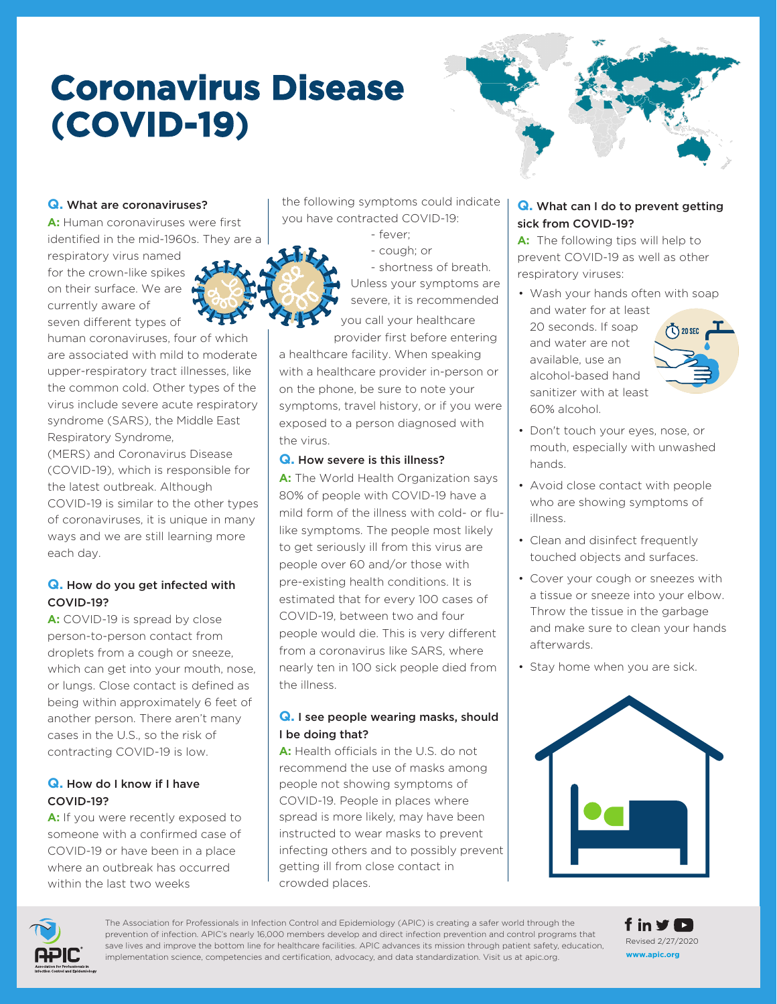# **Coronavirus Disease (COVID-19)**



#### **Q.** What are coronaviruses?

**A:** Human coronaviruses were first identified in the mid-1960s. They are a

respiratory virus named for the crown-like spikes on their surface. We are currently aware of seven different types of

human coronaviruses, four of which are associated with mild to moderate upper-respiratory tract illnesses, like the common cold. Other types of the virus include severe acute respiratory syndrome (SARS), the Middle East Respiratory Syndrome,

(MERS) and Coronavirus Disease (COVID-19), which is responsible for the latest outbreak. Although COVID-19 is similar to the other types of coronaviruses, it is unique in many ways and we are still learning more each day.

#### **Q.** How do you get infected with COVID-19?

**A:** COVID-19 is spread by close person-to-person contact from droplets from a cough or sneeze, which can get into your mouth, nose, or lungs. Close contact is defined as being within approximately 6 feet of another person. There aren't many cases in the U.S., so the risk of contracting COVID-19 is low.

#### **Q.** How do I know if I have COVID-19?

A: If you were recently exposed to someone with a confirmed case of COVID-19 or have been in a place where an outbreak has occurred within the last two weeks

 the following symptoms could indicate you have contracted COVID-19:

- fever;
- cough; or

- shortness of breath. Unless your symptoms are severe, it is recommended

 you call your healthcare provider first before entering

a healthcare facility. When speaking with a healthcare provider in-person or on the phone, be sure to note your symptoms, travel history, or if you were exposed to a person diagnosed with the virus.

#### **Q.** How severe is this illness?

**A:** The World Health Organization says 80% of people with COVID-19 have a mild form of the illness with cold- or flulike symptoms. The people most likely to get seriously ill from this virus are people over 60 and/or those with pre-existing health conditions. It is estimated that for every 100 cases of COVID-19, between two and four people would die. This is very different from a coronavirus like SARS, where nearly ten in 100 sick people died from the illness.

#### **Q.** I see people wearing masks, should I be doing that?

**A:** Health officials in the U.S. do not recommend the use of masks among people not showing symptoms of COVID-19. People in places where spread is more likely, may have been instructed to wear masks to prevent infecting others and to possibly prevent getting ill from close contact in crowded places.

#### **Q.** What can I do to prevent getting sick from COVID-19?

**A:** The following tips will help to prevent COVID-19 as well as other respiratory viruses:

- Wash your hands often with soap and water for at least 20 seconds. If soap  $\sqrt{20}$  SEC and water are not available, use an alcohol-based hand sanitizer with at least 60% alcohol.
- Don't touch your eyes, nose, or mouth, especially with unwashed hands.
- Avoid close contact with people who are showing symptoms of illness.
- Clean and disinfect frequently touched objects and surfaces.
- Cover your cough or sneezes with a tissue or sneeze into your elbow. Throw the tissue in the garbage and make sure to clean your hands afterwards.
- Stay home when you are sick.





The Association for Professionals in Infection Control and Epidemiology (APIC) is creating a safer world through the prevention of infection. APIC's nearly 16,000 members develop and direct infection prevention and control programs that save lives and improve the bottom line for healthcare facilities. APIC advances its mission through patient safety, education, implementation science, competencies and certification, advocacy, and data standardization. Visit us at apic.org.